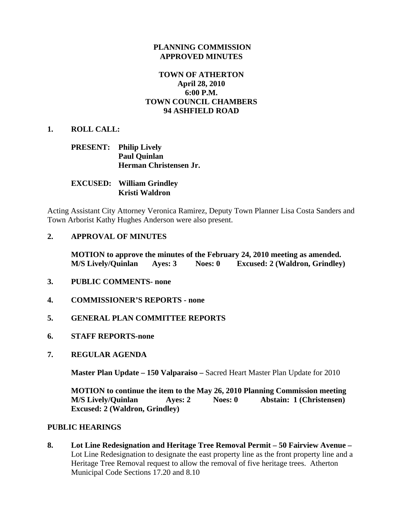#### **PLANNING COMMISSION APPROVED MINUTES**

# **TOWN OF ATHERTON April 28, 2010 6:00 P.M. TOWN COUNCIL CHAMBERS 94 ASHFIELD ROAD**

#### **1. ROLL CALL:**

#### **PRESENT: Philip Lively Paul Quinlan Herman Christensen Jr.**

**EXCUSED: William Grindley Kristi Waldron** 

Acting Assistant City Attorney Veronica Ramirez, Deputy Town Planner Lisa Costa Sanders and Town Arborist Kathy Hughes Anderson were also present.

#### **2. APPROVAL OF MINUTES**

**MOTION to approve the minutes of the February 24, 2010 meeting as amended. M/S Lively/Quinlan Ayes: 3 Noes: 0 Excused: 2 (Waldron, Grindley)** 

- **3. PUBLIC COMMENTS- none**
- **4. COMMISSIONER'S REPORTS none**
- **5. GENERAL PLAN COMMITTEE REPORTS**
- **6. STAFF REPORTS-none**
- **7. REGULAR AGENDA**

 **Master Plan Update – 150 Valparaiso –** Sacred Heart Master Plan Update for 2010

 **MOTION to continue the item to the May 26, 2010 Planning Commission meeting M/S Lively/Quinlan Ayes: 2 Noes: 0 Abstain: 1 (Christensen) Excused: 2 (Waldron, Grindley)** 

#### **PUBLIC HEARINGS**

**8. Lot Line Redesignation and Heritage Tree Removal Permit – 50 Fairview Avenue –** Lot Line Redesignation to designate the east property line as the front property line and a Heritage Tree Removal request to allow the removal of five heritage trees. Atherton Municipal Code Sections 17.20 and 8.10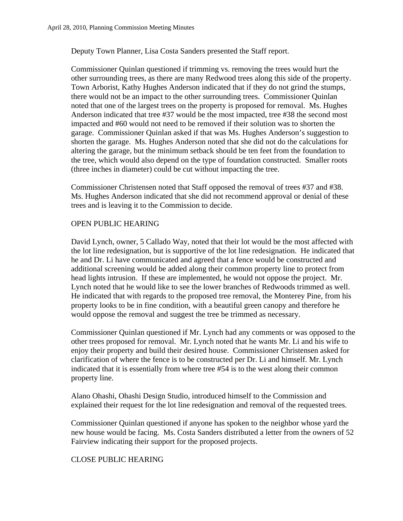Deputy Town Planner, Lisa Costa Sanders presented the Staff report.

 Commissioner Quinlan questioned if trimming vs. removing the trees would hurt the other surrounding trees, as there are many Redwood trees along this side of the property. Town Arborist, Kathy Hughes Anderson indicated that if they do not grind the stumps, there would not be an impact to the other surrounding trees. Commissioner Quinlan noted that one of the largest trees on the property is proposed for removal. Ms. Hughes Anderson indicated that tree #37 would be the most impacted, tree #38 the second most impacted and #60 would not need to be removed if their solution was to shorten the garage. Commissioner Quinlan asked if that was Ms. Hughes Anderson's suggestion to shorten the garage. Ms. Hughes Anderson noted that she did not do the calculations for altering the garage, but the minimum setback should be ten feet from the foundation to the tree, which would also depend on the type of foundation constructed. Smaller roots (three inches in diameter) could be cut without impacting the tree.

 Commissioner Christensen noted that Staff opposed the removal of trees #37 and #38. Ms. Hughes Anderson indicated that she did not recommend approval or denial of these trees and is leaving it to the Commission to decide.

#### OPEN PUBLIC HEARING

 David Lynch, owner, 5 Callado Way, noted that their lot would be the most affected with the lot line redesignation, but is supportive of the lot line redesignation. He indicated that he and Dr. Li have communicated and agreed that a fence would be constructed and additional screening would be added along their common property line to protect from head lights intrusion. If these are implemented, he would not oppose the project. Mr. Lynch noted that he would like to see the lower branches of Redwoods trimmed as well. He indicated that with regards to the proposed tree removal, the Monterey Pine, from his property looks to be in fine condition, with a beautiful green canopy and therefore he would oppose the removal and suggest the tree be trimmed as necessary.

 Commissioner Quinlan questioned if Mr. Lynch had any comments or was opposed to the other trees proposed for removal. Mr. Lynch noted that he wants Mr. Li and his wife to enjoy their property and build their desired house. Commissioner Christensen asked for clarification of where the fence is to be constructed per Dr. Li and himself. Mr. Lynch indicated that it is essentially from where tree #54 is to the west along their common property line.

 Alano Ohashi, Ohashi Design Studio, introduced himself to the Commission and explained their request for the lot line redesignation and removal of the requested trees.

 Commissioner Quinlan questioned if anyone has spoken to the neighbor whose yard the new house would be facing. Ms. Costa Sanders distributed a letter from the owners of 52 Fairview indicating their support for the proposed projects.

#### CLOSE PUBLIC HEARING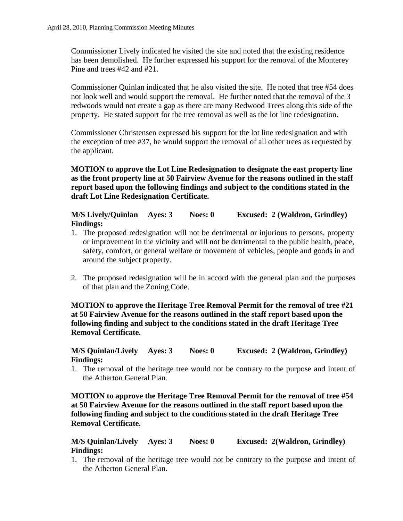Commissioner Lively indicated he visited the site and noted that the existing residence has been demolished. He further expressed his support for the removal of the Monterey Pine and trees #42 and #21.

 Commissioner Quinlan indicated that he also visited the site. He noted that tree #54 does not look well and would support the removal. He further noted that the removal of the 3 redwoods would not create a gap as there are many Redwood Trees along this side of the property. He stated support for the tree removal as well as the lot line redesignation.

 Commissioner Christensen expressed his support for the lot line redesignation and with the exception of tree #37, he would support the removal of all other trees as requested by the applicant.

**MOTION to approve the Lot Line Redesignation to designate the east property line as the front property line at 50 Fairview Avenue for the reasons outlined in the staff report based upon the following findings and subject to the conditions stated in the draft Lot Line Redesignation Certificate.** 

**M/S Lively/Quinlan Ayes: 3 Noes: 0 Excused: 2 (Waldron, Grindley) Findings:** 

- 1. The proposed redesignation will not be detrimental or injurious to persons, property or improvement in the vicinity and will not be detrimental to the public health, peace, safety, comfort, or general welfare or movement of vehicles, people and goods in and around the subject property.
- 2. The proposed redesignation will be in accord with the general plan and the purposes of that plan and the Zoning Code.

# **MOTION to approve the Heritage Tree Removal Permit for the removal of tree #21 at 50 Fairview Avenue for the reasons outlined in the staff report based upon the following finding and subject to the conditions stated in the draft Heritage Tree Removal Certificate.**

# **M/S Quinlan/Lively Ayes: 3 Noes: 0 Excused: 2 (Waldron, Grindley) Findings:**

1. The removal of the heritage tree would not be contrary to the purpose and intent of the Atherton General Plan.

**MOTION to approve the Heritage Tree Removal Permit for the removal of tree #54 at 50 Fairview Avenue for the reasons outlined in the staff report based upon the following finding and subject to the conditions stated in the draft Heritage Tree Removal Certificate.** 

# **M/S Quinlan/Lively Ayes: 3 Noes: 0 Excused: 2(Waldron, Grindley) Findings:**

1. The removal of the heritage tree would not be contrary to the purpose and intent of the Atherton General Plan.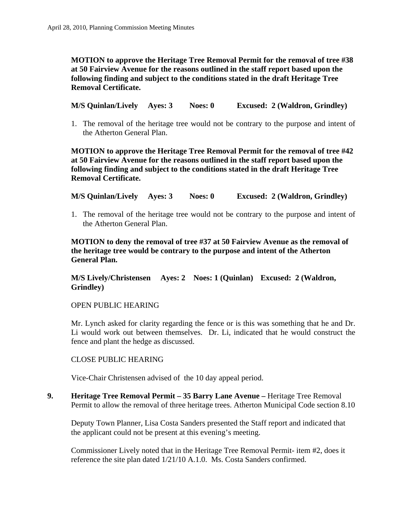# **MOTION to approve the Heritage Tree Removal Permit for the removal of tree #38 at 50 Fairview Avenue for the reasons outlined in the staff report based upon the following finding and subject to the conditions stated in the draft Heritage Tree Removal Certificate.**

**M/S Quinlan/Lively Ayes: 3 Noes: 0 Excused: 2 (Waldron, Grindley)** 

1. The removal of the heritage tree would not be contrary to the purpose and intent of the Atherton General Plan.

**MOTION to approve the Heritage Tree Removal Permit for the removal of tree #42 at 50 Fairview Avenue for the reasons outlined in the staff report based upon the following finding and subject to the conditions stated in the draft Heritage Tree Removal Certificate.** 

**M/S Quinlan/Lively Ayes: 3 Noes: 0 Excused: 2 (Waldron, Grindley)** 

1. The removal of the heritage tree would not be contrary to the purpose and intent of the Atherton General Plan.

# **MOTION to deny the removal of tree #37 at 50 Fairview Avenue as the removal of the heritage tree would be contrary to the purpose and intent of the Atherton General Plan.**

# **M/S Lively/Christensen Ayes: 2 Noes: 1 (Quinlan) Excused: 2 (Waldron, Grindley)**

#### OPEN PUBLIC HEARING

Mr. Lynch asked for clarity regarding the fence or is this was something that he and Dr. Li would work out between themselves. Dr. Li, indicated that he would construct the fence and plant the hedge as discussed.

#### CLOSE PUBLIC HEARING

Vice-Chair Christensen advised of the 10 day appeal period.

**9. Heritage Tree Removal Permit – 35 Barry Lane Avenue –** Heritage Tree Removal Permit to allow the removal of three heritage trees. Atherton Municipal Code section 8.10

Deputy Town Planner, Lisa Costa Sanders presented the Staff report and indicated that the applicant could not be present at this evening's meeting.

Commissioner Lively noted that in the Heritage Tree Removal Permit- item #2, does it reference the site plan dated 1/21/10 A.1.0. Ms. Costa Sanders confirmed.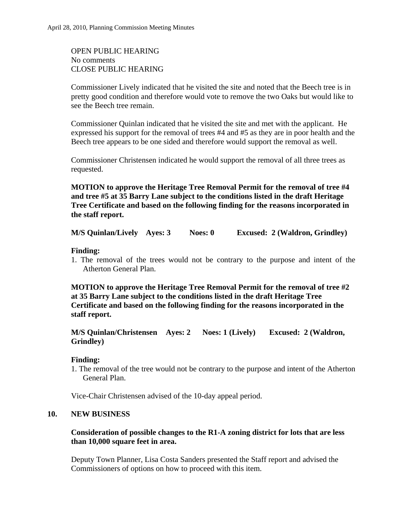OPEN PUBLIC HEARING No comments CLOSE PUBLIC HEARING

Commissioner Lively indicated that he visited the site and noted that the Beech tree is in pretty good condition and therefore would vote to remove the two Oaks but would like to see the Beech tree remain.

Commissioner Quinlan indicated that he visited the site and met with the applicant. He expressed his support for the removal of trees #4 and #5 as they are in poor health and the Beech tree appears to be one sided and therefore would support the removal as well.

Commissioner Christensen indicated he would support the removal of all three trees as requested.

**MOTION to approve the Heritage Tree Removal Permit for the removal of tree #4 and tree #5 at 35 Barry Lane subject to the conditions listed in the draft Heritage Tree Certificate and based on the following finding for the reasons incorporated in the staff report.** 

**M/S Quinlan/Lively Ayes: 3 Noes: 0 Excused: 2 (Waldron, Grindley)** 

# **Finding:**

1. The removal of the trees would not be contrary to the purpose and intent of the Atherton General Plan.

**MOTION to approve the Heritage Tree Removal Permit for the removal of tree #2 at 35 Barry Lane subject to the conditions listed in the draft Heritage Tree Certificate and based on the following finding for the reasons incorporated in the staff report.** 

# **M/S Quinlan/Christensen Ayes: 2 Noes: 1 (Lively) Excused: 2 (Waldron, Grindley)**

# **Finding:**

1. The removal of the tree would not be contrary to the purpose and intent of the Atherton General Plan.

Vice-Chair Christensen advised of the 10-day appeal period.

# **10. NEW BUSINESS**

# **Consideration of possible changes to the R1-A zoning district for lots that are less than 10,000 square feet in area.**

Deputy Town Planner, Lisa Costa Sanders presented the Staff report and advised the Commissioners of options on how to proceed with this item.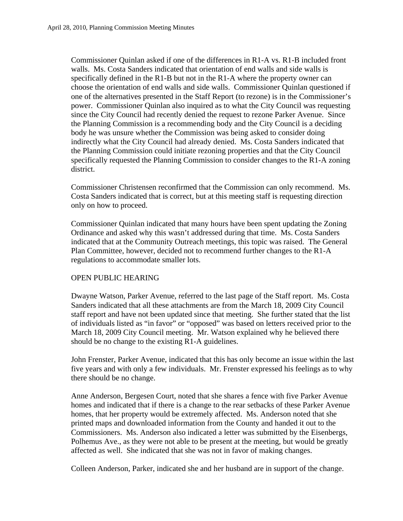Commissioner Quinlan asked if one of the differences in R1-A vs. R1-B included front walls. Ms. Costa Sanders indicated that orientation of end walls and side walls is specifically defined in the R1-B but not in the R1-A where the property owner can choose the orientation of end walls and side walls. Commissioner Quinlan questioned if one of the alternatives presented in the Staff Report (to rezone) is in the Commissioner's power. Commissioner Quinlan also inquired as to what the City Council was requesting since the City Council had recently denied the request to rezone Parker Avenue. Since the Planning Commission is a recommending body and the City Council is a deciding body he was unsure whether the Commission was being asked to consider doing indirectly what the City Council had already denied. Ms. Costa Sanders indicated that the Planning Commission could initiate rezoning properties and that the City Council specifically requested the Planning Commission to consider changes to the R1-A zoning district.

Commissioner Christensen reconfirmed that the Commission can only recommend. Ms. Costa Sanders indicated that is correct, but at this meeting staff is requesting direction only on how to proceed.

Commissioner Quinlan indicated that many hours have been spent updating the Zoning Ordinance and asked why this wasn't addressed during that time. Ms. Costa Sanders indicated that at the Community Outreach meetings, this topic was raised. The General Plan Committee, however, decided not to recommend further changes to the R1-A regulations to accommodate smaller lots.

#### OPEN PUBLIC HEARING

Dwayne Watson, Parker Avenue, referred to the last page of the Staff report. Ms. Costa Sanders indicated that all these attachments are from the March 18, 2009 City Council staff report and have not been updated since that meeting. She further stated that the list of individuals listed as "in favor" or "opposed" was based on letters received prior to the March 18, 2009 City Council meeting. Mr. Watson explained why he believed there should be no change to the existing R1-A guidelines.

John Frenster, Parker Avenue, indicated that this has only become an issue within the last five years and with only a few individuals. Mr. Frenster expressed his feelings as to why there should be no change.

Anne Anderson, Bergesen Court, noted that she shares a fence with five Parker Avenue homes and indicated that if there is a change to the rear setbacks of these Parker Avenue homes, that her property would be extremely affected. Ms. Anderson noted that she printed maps and downloaded information from the County and handed it out to the Commissioners. Ms. Anderson also indicated a letter was submitted by the Eisenbergs, Polhemus Ave., as they were not able to be present at the meeting, but would be greatly affected as well. She indicated that she was not in favor of making changes.

Colleen Anderson, Parker, indicated she and her husband are in support of the change.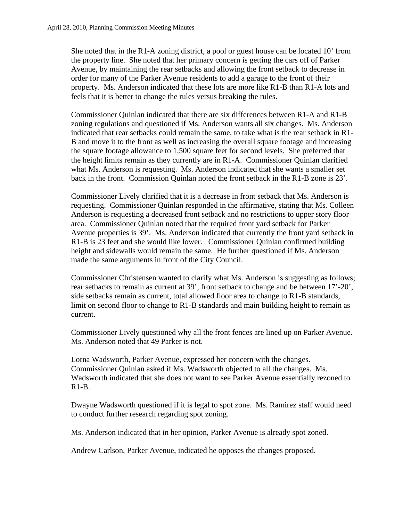She noted that in the R1-A zoning district, a pool or guest house can be located 10' from the property line. She noted that her primary concern is getting the cars off of Parker Avenue, by maintaining the rear setbacks and allowing the front setback to decrease in order for many of the Parker Avenue residents to add a garage to the front of their property. Ms. Anderson indicated that these lots are more like R1-B than R1-A lots and feels that it is better to change the rules versus breaking the rules.

Commissioner Quinlan indicated that there are six differences between R1-A and R1-B zoning regulations and questioned if Ms. Anderson wants all six changes. Ms. Anderson indicated that rear setbacks could remain the same, to take what is the rear setback in R1- B and move it to the front as well as increasing the overall square footage and increasing the square footage allowance to 1,500 square feet for second levels. She preferred that the height limits remain as they currently are in R1-A. Commissioner Quinlan clarified what Ms. Anderson is requesting. Ms. Anderson indicated that she wants a smaller set back in the front. Commission Quinlan noted the front setback in the R1-B zone is 23'.

Commissioner Lively clarified that it is a decrease in front setback that Ms. Anderson is requesting. Commissioner Quinlan responded in the affirmative, stating that Ms. Colleen Anderson is requesting a decreased front setback and no restrictions to upper story floor area. Commissioner Quinlan noted that the required front yard setback for Parker Avenue properties is 39'. Ms. Anderson indicated that currently the front yard setback in R1-B is 23 feet and she would like lower. Commissioner Quinlan confirmed building height and sidewalls would remain the same. He further questioned if Ms. Anderson made the same arguments in front of the City Council.

Commissioner Christensen wanted to clarify what Ms. Anderson is suggesting as follows; rear setbacks to remain as current at 39', front setback to change and be between 17'-20', side setbacks remain as current, total allowed floor area to change to R1-B standards, limit on second floor to change to R1-B standards and main building height to remain as current.

Commissioner Lively questioned why all the front fences are lined up on Parker Avenue. Ms. Anderson noted that 49 Parker is not.

Lorna Wadsworth, Parker Avenue, expressed her concern with the changes. Commissioner Quinlan asked if Ms. Wadsworth objected to all the changes. Ms. Wadsworth indicated that she does not want to see Parker Avenue essentially rezoned to R1-B.

Dwayne Wadsworth questioned if it is legal to spot zone. Ms. Ramirez staff would need to conduct further research regarding spot zoning.

Ms. Anderson indicated that in her opinion, Parker Avenue is already spot zoned.

Andrew Carlson, Parker Avenue, indicated he opposes the changes proposed.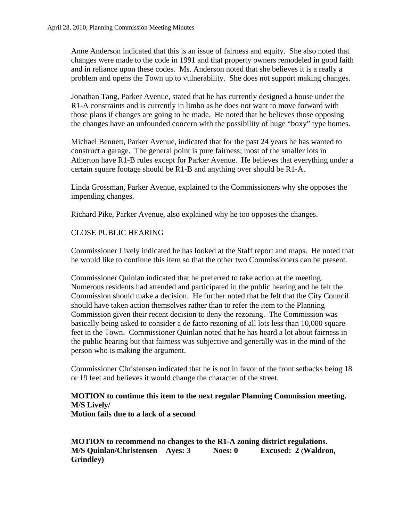Anne Anderson indicated that this is an issue of fairness and equity. She also noted that changes were made to the code in 1991 and that property owners remodeled in good faith and in reliance upon these codes. Ms. Anderson noted that she believes it is a really a problem and opens the Town up to vulnerability. She does not support making changes.

Jonathan Tang, Parker Avenue, stated that he has currently designed a house under the R1-A constraints and is currently in limbo as he does not want to move forward with those plans if changes are going to be made. He noted that he believes those opposing the changes have an unfounded concern with the possibility of huge "boxy" type homes.

Michael Bennett, Parker Avenue, indicated that for the past 24 years he has wanted to construct a garage. The general point is pure fairness; most of the smaller lots in Atherton have R1-B rules except for Parker Avenue. He believes that everything under a certain square footage should be R1-B and anything over should be R1-A.

Linda Grossman, Parker Avenue, explained to the Commissioners why she opposes the impending changes.

Richard Pike, Parker Avenue, also explained why he too opposes the changes.

# CLOSE PUBLIC HEARING

Commissioner Lively indicated he has looked at the Staff report and maps. He noted that he would like to continue this item so that the other two Commissioners can be present.

Commissioner Quinlan indicated that he preferred to take action at the meeting. Numerous residents had attended and participated in the public hearing and he felt the Commission should make a decision. He further noted that he felt that the City Council should have taken action themselves rather than to refer the item to the Planning Commission given their recent decision to deny the rezoning. The Commission was basically being asked to consider a de facto rezoning of all lots less than 10,000 square feet in the Town. Commissioner Quinlan noted that he has heard a lot about fairness in the public hearing but that fairness was subjective and generally was in the mind of the person who is making the argument.

Commissioner Christensen indicated that he is not in favor of the front setbacks being 18 or 19 feet and believes it would change the character of the street.

#### **MOTION to continue this item to the next regular Planning Commission meeting. M/S Lively/ Motion fails due to a lack of a second**

**MOTION to recommend no changes to the R1-A zoning district regulations. M/S Quinlan/Christensen Ayes: 3 Noes: 0 Excused: 2 (Waldron, Grindley)**